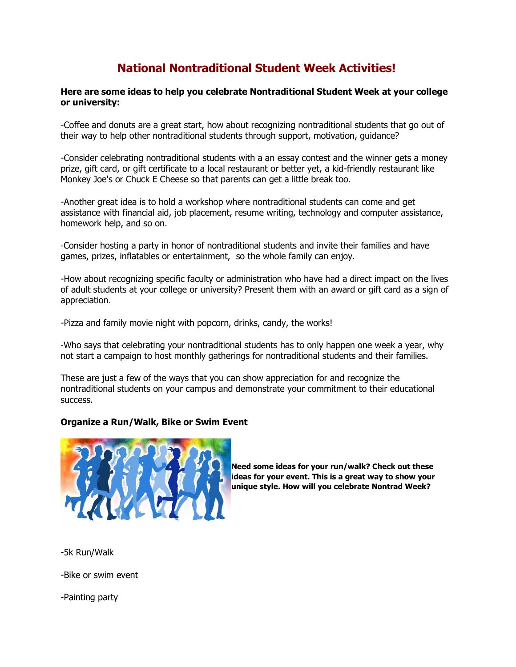## **National Nontraditional Student Week Activities!**

## **Here are some ideas to help you celebrate Nontraditional Student Week at your college or university:**

-Coffee and donuts are a great start, how about recognizing nontraditional students that go out of their way to help other nontraditional students through support, motivation, guidance?

-Consider celebrating nontraditional students with a an essay contest and the winner gets a money prize, gift card, or gift certificate to a local restaurant or better yet, a kid-friendly restaurant like Monkey Joe's or Chuck E Cheese so that parents can get a little break too.

-Another great idea is to hold a workshop where nontraditional students can come and get assistance with financial aid, job placement, resume writing, technology and computer assistance, homework help, and so on.

-Consider hosting a party in honor of nontraditional students and invite their families and have games, prizes, inflatables or entertainment, so the whole family can enjoy.

-How about recognizing specific faculty or administration who have had a direct impact on the lives of adult students at your college or university? Present them with an award or gift card as a sign of appreciation.

-Pizza and family movie night with popcorn, drinks, candy, the works!

-Who says that celebrating your nontraditional students has to only happen one week a year, why not start a campaign to host monthly gatherings for nontraditional students and their families.

These are just a few of the ways that you can show appreciation for and recognize the nontraditional students on your campus and demonstrate your commitment to their educational success.

## **Organize a Run/Walk, Bike or Swim Event**



**Need some ideas for your run/walk? Check out these ideas for your event. This is a great way to show your unique style. How will you celebrate Nontrad Week?**

-5k Run/Walk

-Bike or swim event

-Painting party